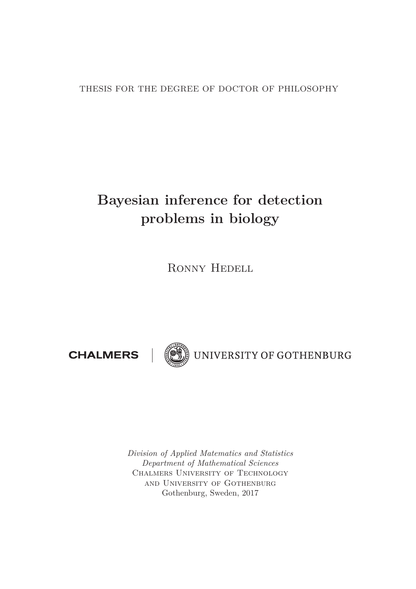THESIS FOR THE DEGREE OF DOCTOR OF PHILOSOPHY

## **Bayesian inference for detection problems in biology**

Ronny Hedell

**CHALMERS** 



UNIVERSITY OF GOTHENBURG

*Division of Applied Matematics and Statistics Department of Mathematical Sciences* Chalmers University of Technology and University of Gothenburg Gothenburg, Sweden, 2017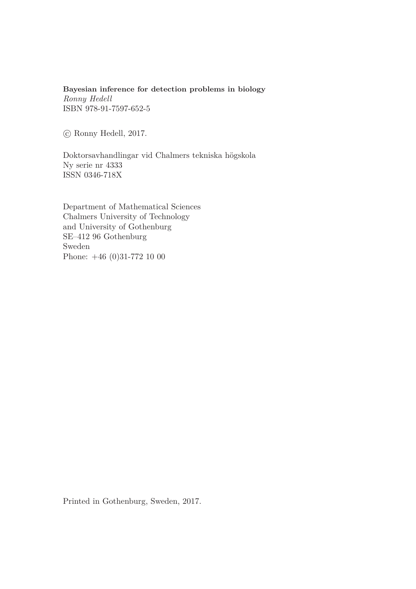**Bayesian inference for detection problems in biology** *Ronny Hedell* ISBN 978-91-7597-652-5

-c Ronny Hedell, 2017.

Doktorsavhandlingar vid Chalmers tekniska högskola Ny serie nr 4333 ISSN 0346-718X

Department of Mathematical Sciences Chalmers University of Technology and University of Gothenburg SE–412 96 Gothenburg Sweden Phone: +46 (0)31-772 10 00

Printed in Gothenburg, Sweden, 2017.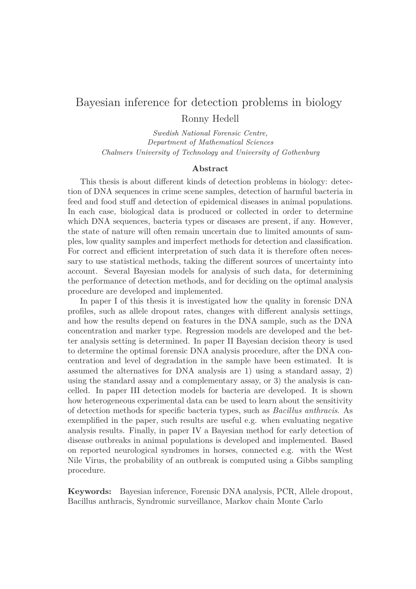### Bayesian inference for detection problems in biology Ronny Hedell

*Swedish National Forensic Centre, Department of Mathematical Sciences Chalmers University of Technology and University of Gothenburg*

#### **Abstract**

This thesis is about different kinds of detection problems in biology: detection of DNA sequences in crime scene samples, detection of harmful bacteria in feed and food stuff and detection of epidemical diseases in animal populations. In each case, biological data is produced or collected in order to determine which DNA sequences, bacteria types or diseases are present, if any. However, the state of nature will often remain uncertain due to limited amounts of samples, low quality samples and imperfect methods for detection and classification. For correct and efficient interpretation of such data it is therefore often necessary to use statistical methods, taking the different sources of uncertainty into account. Several Bayesian models for analysis of such data, for determining the performance of detection methods, and for deciding on the optimal analysis procedure are developed and implemented.

In paper I of this thesis it is investigated how the quality in forensic DNA profiles, such as allele dropout rates, changes with different analysis settings, and how the results depend on features in the DNA sample, such as the DNA concentration and marker type. Regression models are developed and the better analysis setting is determined. In paper II Bayesian decision theory is used to determine the optimal forensic DNA analysis procedure, after the DNA concentration and level of degradation in the sample have been estimated. It is assumed the alternatives for DNA analysis are 1) using a standard assay, 2) using the standard assay and a complementary assay, or 3) the analysis is cancelled. In paper III detection models for bacteria are developed. It is shown how heterogeneous experimental data can be used to learn about the sensitivity of detection methods for specific bacteria types, such as *Bacillus anthracis*. As exemplified in the paper, such results are useful e.g. when evaluating negative analysis results. Finally, in paper IV a Bayesian method for early detection of disease outbreaks in animal populations is developed and implemented. Based on reported neurological syndromes in horses, connected e.g. with the West Nile Virus, the probability of an outbreak is computed using a Gibbs sampling procedure.

**Keywords:** Bayesian inference, Forensic DNA analysis, PCR, Allele dropout, Bacillus anthracis, Syndromic surveillance, Markov chain Monte Carlo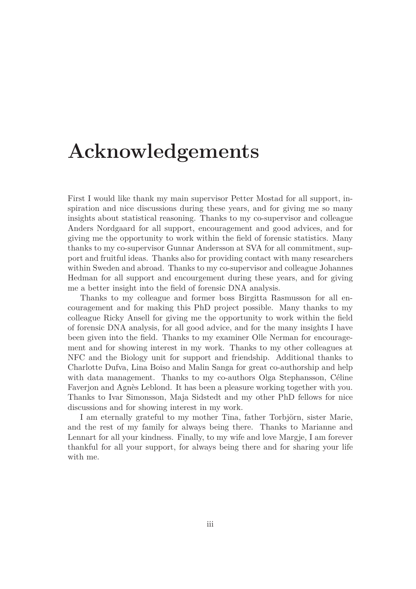# **Acknowledgements**

First I would like thank my main supervisor Petter Mostad for all support, inspiration and nice discussions during these years, and for giving me so many insights about statistical reasoning. Thanks to my co-supervisor and colleague Anders Nordgaard for all support, encouragement and good advices, and for giving me the opportunity to work within the field of forensic statistics. Many thanks to my co-supervisor Gunnar Andersson at SVA for all commitment, support and fruitful ideas. Thanks also for providing contact with many researchers within Sweden and abroad. Thanks to my co-supervisor and colleague Johannes Hedman for all support and encourgement during these years, and for giving me a better insight into the field of forensic DNA analysis.

Thanks to my colleague and former boss Birgitta Rasmusson for all encouragement and for making this PhD project possible. Many thanks to my colleague Ricky Ansell for giving me the opportunity to work within the field of forensic DNA analysis, for all good advice, and for the many insights I have been given into the field. Thanks to my examiner Olle Nerman for encouragement and for showing interest in my work. Thanks to my other colleagues at NFC and the Biology unit for support and friendship. Additional thanks to Charlotte Dufva, Lina Boiso and Malin Sanga for great co-authorship and help with data management. Thanks to my co-authors Olga Stephansson, Céline Faverjon and Agnès Leblond. It has been a pleasure working together with you. Thanks to Ivar Simonsson, Maja Sidstedt and my other PhD fellows for nice discussions and for showing interest in my work.

I am eternally grateful to my mother Tina, father Torbjörn, sister Marie, and the rest of my family for always being there. Thanks to Marianne and Lennart for all your kindness. Finally, to my wife and love Margje, I am forever thankful for all your support, for always being there and for sharing your life with me.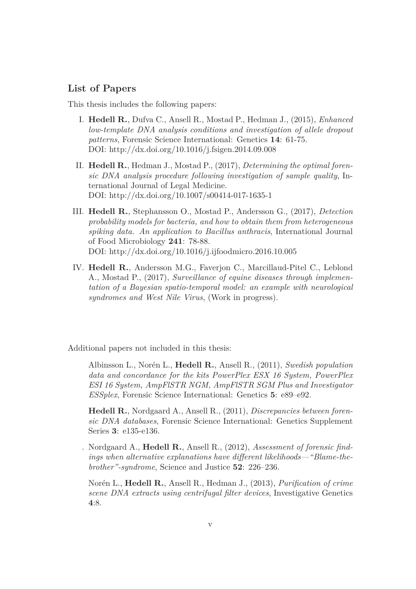#### **List of Papers**

This thesis includes the following papers:

- I. **Hedell R.**, Dufva C., Ansell R., Mostad P., Hedman J., (2015), *Enhanced low-template DNA analysis conditions and investigation of allele dropout patterns*, Forensic Science International: Genetics **14**: 61-75. DOI: http://dx.doi.org/10.1016/j.fsigen.2014.09.008
- II. **Hedell R.**, Hedman J., Mostad P., (2017), *Determining the optimal forensic DNA analysis procedure following investigation of sample quality*, International Journal of Legal Medicine. DOI: http://dx.doi.org/10.1007/s00414-017-1635-1
- III. **Hedell R.**, Stephansson O., Mostad P., Andersson G., (2017), *Detection probability models for bacteria, and how to obtain them from heterogeneous spiking data. An application to Bacillus anthracis*, International Journal of Food Microbiology **241**: 78-88. DOI: http://dx.doi.org/10.1016/j.ijfoodmicro.2016.10.005
- IV. **Hedell R.**, Andersson M.G., Faverjon C., Marcillaud-Pitel C., Leblond A., Mostad P., (2017), *Surveillance of equine diseases through implementation of a Bayesian spatio-temporal model: an example with neurological syndromes and West Nile Virus*, (Work in progress).

Additional papers not included in this thesis:

Albinsson L., Norén L., **Hedell R.**, Ansell R., (2011), *Swedish population data and concordance for the kits PowerPlex ESX 16 System, PowerPlex ESI 16 System, AmpFlSTR NGM, AmpFlSTR SGM Plus and Investigator ESSplex*, Forensic Science International: Genetics **5**: e89–e92.

**Hedell R.**, Nordgaard A., Ansell R., (2011), *Discrepancies between forensic DNA databases*, Forensic Science International: Genetics Supplement Series **3**: e135-e136.

. Nordgaard A., **Hedell R.**, Ansell R., (2012), *Assessment of forensic findings when alternative explanations have different likelihoods—"Blame-thebrother"-syndrome*, Science and Justice **52**: 226–236.

Norén L., **Hedell R.**, Ansell R., Hedman J., (2013), *Purification of crime scene DNA extracts using centrifugal filter devices*, Investigative Genetics **4**:8.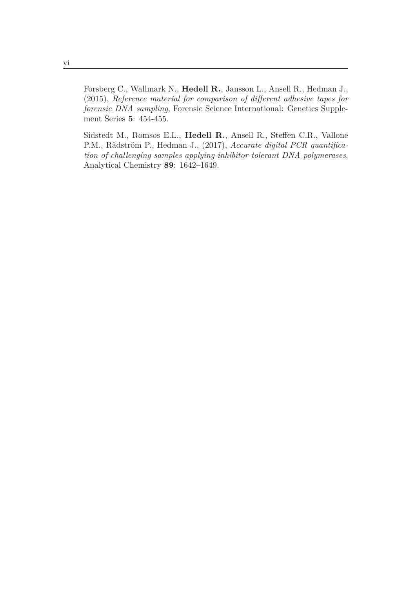Forsberg C., Wallmark N., **Hedell R.**, Jansson L., Ansell R., Hedman J., (2015), *Reference material for comparison of different adhesive tapes for forensic DNA sampling*, Forensic Science International: Genetics Supplement Series **5**: 454-455.

Sidstedt M., Romsos E.L., **Hedell R.**, Ansell R., Steffen C.R., Vallone P.M., Rådström P., Hedman J., (2017), *Accurate digital PCR quantification of challenging samples applying inhibitor-tolerant DNA polymerases*, Analytical Chemistry **89**: 1642–1649.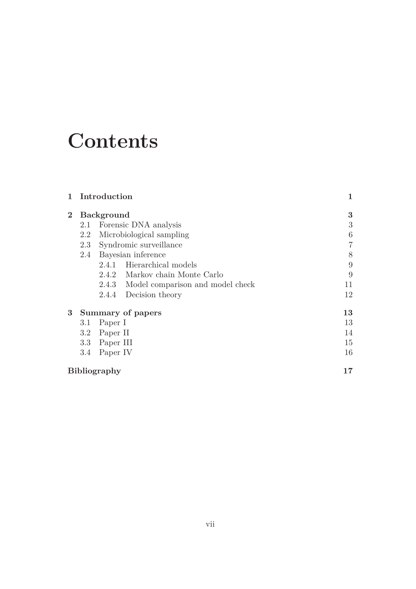# **Contents**

|                     | Introduction      |                          |                                        | 1              |
|---------------------|-------------------|--------------------------|----------------------------------------|----------------|
| $\bf{2}$            | <b>Background</b> |                          |                                        | 3              |
|                     | 2.1               | Forensic DNA analysis    |                                        | 3              |
|                     | 2.2               | Microbiological sampling |                                        | 6              |
|                     | 2.3               | Syndromic surveillance   |                                        | $\overline{7}$ |
|                     | 2.4               | Bayesian inference       |                                        | 8              |
|                     |                   |                          | 2.4.1 Hierarchical models              | 9              |
|                     |                   |                          | 2.4.2 Markov chain Monte Carlo         | 9              |
|                     |                   |                          | 2.4.3 Model comparison and model check | 11             |
|                     |                   | 2.4.4                    | Decision theory                        | 12             |
| $3\phantom{.0}$     | Summary of papers |                          |                                        | 13             |
|                     | 3.1               | Paper I                  |                                        | 13             |
|                     | 3.2               | Paper II                 |                                        | 14             |
|                     | 3.3               | Paper III                |                                        | 15             |
|                     | 3.4               | Paper IV                 |                                        | 16             |
| <b>Bibliography</b> |                   |                          |                                        | 17             |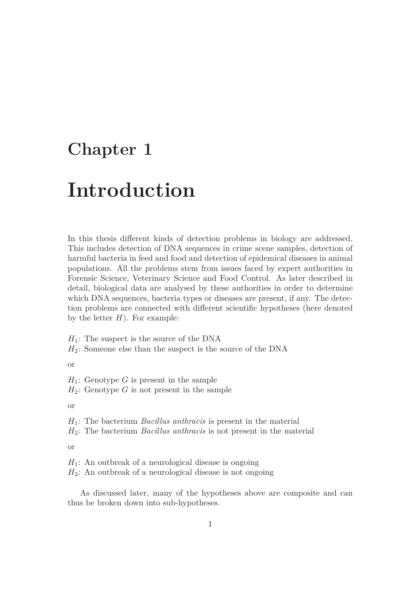## **Chapter 1**

# **Introduction**

In this thesis different kinds of detection problems in biology are addressed. This includes detection of DNA sequences in crime scene samples, detection of harmful bacteria in feed and food and detection of epidemical diseases in animal populations. All the problems stem from issues faced by expert authorities in Forensic Science, Veterinary Science and Food Control. As later described in detail, biological data are analysed by these authorities in order to determine which DNA sequences, bacteria types or diseases are present, if any. The detection problems are connected with different scientific hypotheses (here denoted by the letter  $H$ ). For example:

*H*1: The suspect is the source of the DNA *H*2: Someone else than the suspect is the source of the DNA

or

*H*1: Genotype *G* is present in the sample  $H_2$ : Genotype *G* is not present in the sample

or

*H*1: The bacterium *Bacillus anthracis* is present in the material *H*2: The bacterium *Bacillus anthracis* is not present in the material

or

 $H_1$ : An outbreak of a neurological disease is ongoing *H*2: An outbreak of a neurological disease is not ongoing

As discussed later, many of the hypotheses above are composite and can thus be broken down into sub-hypotheses.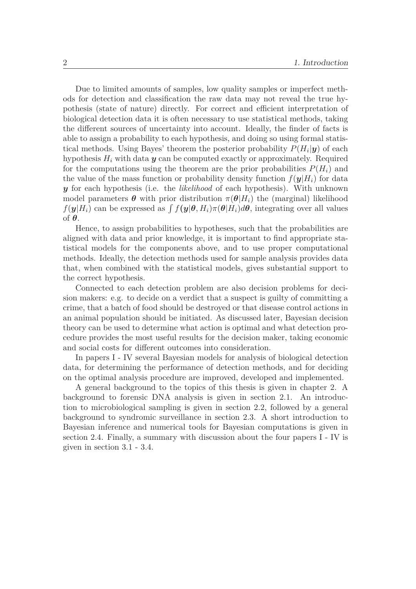Due to limited amounts of samples, low quality samples or imperfect methods for detection and classification the raw data may not reveal the true hypothesis (state of nature) directly. For correct and efficient interpretation of biological detection data it is often necessary to use statistical methods, taking the different sources of uncertainty into account. Ideally, the finder of facts is able to assign a probability to each hypothesis, and doing so using formal statistical methods. Using Bayes' theorem the posterior probability  $P(H_i|\mathbf{y})$  of each hypothesis  $H_i$  with data  $y$  can be computed exactly or approximately. Required for the computations using the theorem are the prior probabilities  $P(H_i)$  and the value of the mass function or probability density function  $f(\mathbf{y}|H_i)$  for data *y* for each hypothesis (i.e. the *likelihood* of each hypothesis). With unknown model parameters  $\theta$  with prior distribution  $\pi(\theta|H_i)$  the (marginal) likelihood  $f(\mathbf{y}|H_i)$  can be expressed as  $\int f(\mathbf{y}|\theta, H_i) \pi(\theta|H_i) d\theta$ , integrating over all values of *θ*.

Hence, to assign probabilities to hypotheses, such that the probabilities are aligned with data and prior knowledge, it is important to find appropriate statistical models for the components above, and to use proper computational methods. Ideally, the detection methods used for sample analysis provides data that, when combined with the statistical models, gives substantial support to the correct hypothesis.

Connected to each detection problem are also decision problems for decision makers: e.g. to decide on a verdict that a suspect is guilty of committing a crime, that a batch of food should be destroyed or that disease control actions in an animal population should be initiated. As discussed later, Bayesian decision theory can be used to determine what action is optimal and what detection procedure provides the most useful results for the decision maker, taking economic and social costs for different outcomes into consideration.

In papers I - IV several Bayesian models for analysis of biological detection data, for determining the performance of detection methods, and for deciding on the optimal analysis procedure are improved, developed and implemented.

A general background to the topics of this thesis is given in chapter 2. A background to forensic DNA analysis is given in section 2.1. An introduction to microbiological sampling is given in section 2.2, followed by a general background to syndromic surveillance in section 2.3. A short introduction to Bayesian inference and numerical tools for Bayesian computations is given in section 2.4. Finally, a summary with discussion about the four papers I - IV is given in section 3.1 - 3.4.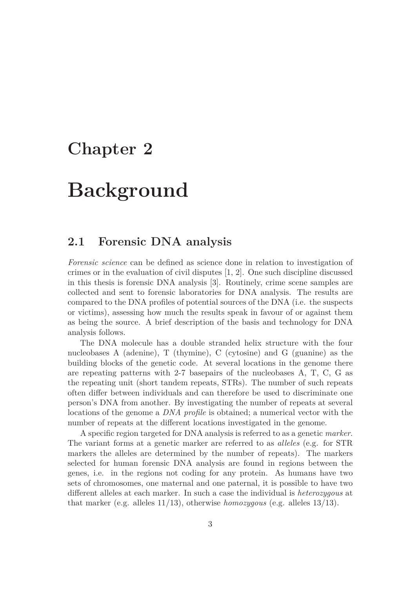## **Chapter 2**

# **Background**

#### **2.1 Forensic DNA analysis**

*Forensic science* can be defined as science done in relation to investigation of crimes or in the evaluation of civil disputes [1, 2]. One such discipline discussed in this thesis is forensic DNA analysis [3]. Routinely, crime scene samples are collected and sent to forensic laboratories for DNA analysis. The results are compared to the DNA profiles of potential sources of the DNA (i.e. the suspects or victims), assessing how much the results speak in favour of or against them as being the source. A brief description of the basis and technology for DNA analysis follows.

The DNA molecule has a double stranded helix structure with the four nucleobases A (adenine), T (thymine), C (cytosine) and G (guanine) as the building blocks of the genetic code. At several locations in the genome there are repeating patterns with 2-7 basepairs of the nucleobases A, T, C, G as the repeating unit (short tandem repeats, STRs). The number of such repeats often differ between individuals and can therefore be used to discriminate one person's DNA from another. By investigating the number of repeats at several locations of the genome a *DNA profile* is obtained; a numerical vector with the number of repeats at the different locations investigated in the genome.

A specific region targeted for DNA analysis is referred to as a genetic *marker*. The variant forms at a genetic marker are referred to as *alleles* (e.g. for STR markers the alleles are determined by the number of repeats). The markers selected for human forensic DNA analysis are found in regions between the genes, i.e. in the regions not coding for any protein. As humans have two sets of chromosomes, one maternal and one paternal, it is possible to have two different alleles at each marker. In such a case the individual is *heterozygous* at that marker (e.g. alleles 11/13), otherwise *homozygous* (e.g. alleles 13/13).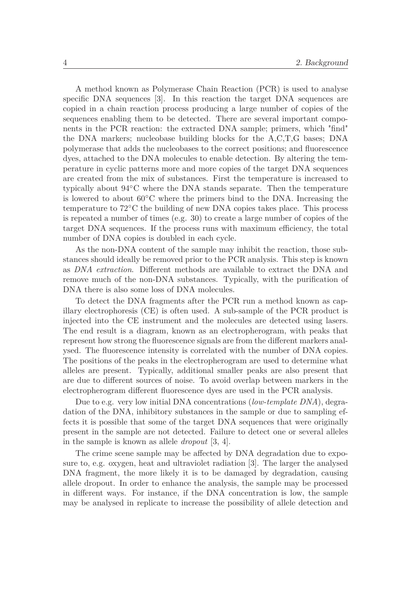A method known as Polymerase Chain Reaction (PCR) is used to analyse specific DNA sequences [3]. In this reaction the target DNA sequences are copied in a chain reaction process producing a large number of copies of the sequences enabling them to be detected. There are several important components in the PCR reaction: the extracted DNA sample; primers, which "find" the DNA markers; nucleobase building blocks for the A,C,T,G bases; DNA polymerase that adds the nucleobases to the correct positions; and fluorescence dyes, attached to the DNA molecules to enable detection. By altering the temperature in cyclic patterns more and more copies of the target DNA sequences are created from the mix of substances. First the temperature is increased to typically about 94◦C where the DNA stands separate. Then the temperature is lowered to about  $60^{\circ}$ C where the primers bind to the DNA. Increasing the temperature to 72◦C the building of new DNA copies takes place. This process is repeated a number of times (e.g. 30) to create a large number of copies of the target DNA sequences. If the process runs with maximum efficiency, the total number of DNA copies is doubled in each cycle.

As the non-DNA content of the sample may inhibit the reaction, those substances should ideally be removed prior to the PCR analysis. This step is known as *DNA extraction*. Different methods are available to extract the DNA and remove much of the non-DNA substances. Typically, with the purification of DNA there is also some loss of DNA molecules.

To detect the DNA fragments after the PCR run a method known as capillary electrophoresis (CE) is often used. A sub-sample of the PCR product is injected into the CE instrument and the molecules are detected using lasers. The end result is a diagram, known as an electropherogram, with peaks that represent how strong the fluorescence signals are from the different markers analysed. The fluorescence intensity is correlated with the number of DNA copies. The positions of the peaks in the electropherogram are used to determine what alleles are present. Typically, additional smaller peaks are also present that are due to different sources of noise. To avoid overlap between markers in the electropherogram different fluorescence dyes are used in the PCR analysis.

Due to e.g. very low initial DNA concentrations (*low-template DNA*), degradation of the DNA, inhibitory substances in the sample or due to sampling effects it is possible that some of the target DNA sequences that were originally present in the sample are not detected. Failure to detect one or several alleles in the sample is known as allele *dropout* [3, 4].

The crime scene sample may be affected by DNA degradation due to exposure to, e.g. oxygen, heat and ultraviolet radiation [3]. The larger the analysed DNA fragment, the more likely it is to be damaged by degradation, causing allele dropout. In order to enhance the analysis, the sample may be processed in different ways. For instance, if the DNA concentration is low, the sample may be analysed in replicate to increase the possibility of allele detection and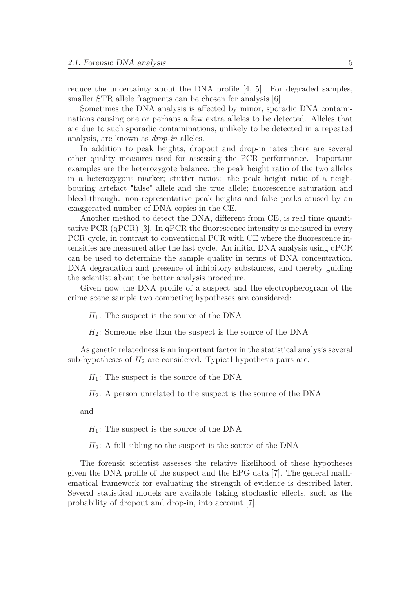reduce the uncertainty about the DNA profile [4, 5]. For degraded samples, smaller STR allele fragments can be chosen for analysis [6].

Sometimes the DNA analysis is affected by minor, sporadic DNA contaminations causing one or perhaps a few extra alleles to be detected. Alleles that are due to such sporadic contaminations, unlikely to be detected in a repeated analysis, are known as *drop-in* alleles.

In addition to peak heights, dropout and drop-in rates there are several other quality measures used for assessing the PCR performance. Important examples are the heterozygote balance: the peak height ratio of the two alleles in a heterozygous marker; stutter ratios: the peak height ratio of a neighbouring artefact "false" allele and the true allele; fluorescence saturation and bleed-through: non-representative peak heights and false peaks caused by an exaggerated number of DNA copies in the CE.

Another method to detect the DNA, different from CE, is real time quantitative PCR (qPCR) [3]. In qPCR the fluorescence intensity is measured in every PCR cycle, in contrast to conventional PCR with CE where the fluorescence intensities are measured after the last cycle. An initial DNA analysis using qPCR can be used to determine the sample quality in terms of DNA concentration, DNA degradation and presence of inhibitory substances, and thereby guiding the scientist about the better analysis procedure.

Given now the DNA profile of a suspect and the electropherogram of the crime scene sample two competing hypotheses are considered:

*H*<sub>1</sub>: The suspect is the source of the DNA

*H*2: Someone else than the suspect is the source of the DNA

As genetic relatedness is an important factor in the statistical analysis several sub-hypotheses of  $H_2$  are considered. Typical hypothesis pairs are:

 $H_1$ : The suspect is the source of the DNA

*H*<sub>2</sub>: A person unrelated to the suspect is the source of the DNA

and

*H*1: The suspect is the source of the DNA

 $H_2$ : A full sibling to the suspect is the source of the DNA

The forensic scientist assesses the relative likelihood of these hypotheses given the DNA profile of the suspect and the EPG data [7]. The general mathematical framework for evaluating the strength of evidence is described later. Several statistical models are available taking stochastic effects, such as the probability of dropout and drop-in, into account [7].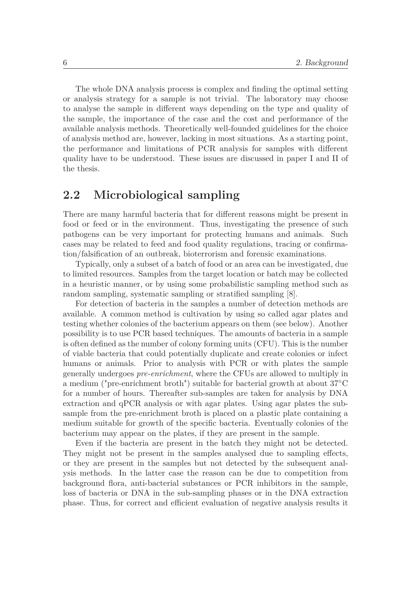The whole DNA analysis process is complex and finding the optimal setting or analysis strategy for a sample is not trivial. The laboratory may choose to analyse the sample in different ways depending on the type and quality of the sample, the importance of the case and the cost and performance of the available analysis methods. Theoretically well-founded guidelines for the choice of analysis method are, however, lacking in most situations. As a starting point, the performance and limitations of PCR analysis for samples with different quality have to be understood. These issues are discussed in paper I and II of the thesis.

#### **2.2 Microbiological sampling**

There are many harmful bacteria that for different reasons might be present in food or feed or in the environment. Thus, investigating the presence of such pathogens can be very important for protecting humans and animals. Such cases may be related to feed and food quality regulations, tracing or confirmation/falsification of an outbreak, bioterrorism and forensic examinations.

Typically, only a subset of a batch of food or an area can be investigated, due to limited resources. Samples from the target location or batch may be collected in a heuristic manner, or by using some probabilistic sampling method such as random sampling, systematic sampling or stratified sampling [8].

For detection of bacteria in the samples a number of detection methods are available. A common method is cultivation by using so called agar plates and testing whether colonies of the bacterium appears on them (see below). Another possibility is to use PCR based techniques. The amounts of bacteria in a sample is often defined as the number of colony forming units (CFU). This is the number of viable bacteria that could potentially duplicate and create colonies or infect humans or animals. Prior to analysis with PCR or with plates the sample generally undergoes *pre-enrichment*, where the CFUs are allowed to multiply in a medium ("pre-enrichment broth") suitable for bacterial growth at about 37◦C for a number of hours. Thereafter sub-samples are taken for analysis by DNA extraction and qPCR analysis or with agar plates. Using agar plates the subsample from the pre-enrichment broth is placed on a plastic plate containing a medium suitable for growth of the specific bacteria. Eventually colonies of the bacterium may appear on the plates, if they are present in the sample.

Even if the bacteria are present in the batch they might not be detected. They might not be present in the samples analysed due to sampling effects, or they are present in the samples but not detected by the subsequent analysis methods. In the latter case the reason can be due to competition from background flora, anti-bacterial substances or PCR inhibitors in the sample, loss of bacteria or DNA in the sub-sampling phases or in the DNA extraction phase. Thus, for correct and efficient evaluation of negative analysis results it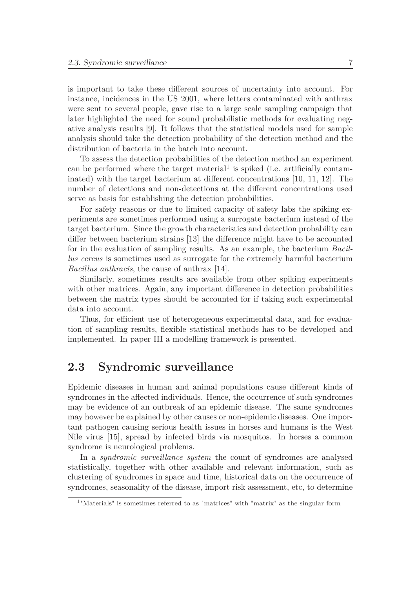is important to take these different sources of uncertainty into account. For instance, incidences in the US 2001, where letters contaminated with anthrax were sent to several people, gave rise to a large scale sampling campaign that later highlighted the need for sound probabilistic methods for evaluating negative analysis results [9]. It follows that the statistical models used for sample analysis should take the detection probability of the detection method and the distribution of bacteria in the batch into account.

To assess the detection probabilities of the detection method an experiment can be performed where the target material<sup>1</sup> is spiked (i.e. artificially contaminated) with the target bacterium at different concentrations [10, 11, 12]. The number of detections and non-detections at the different concentrations used serve as basis for establishing the detection probabilities.

For safety reasons or due to limited capacity of safety labs the spiking experiments are sometimes performed using a surrogate bacterium instead of the target bacterium. Since the growth characteristics and detection probability can differ between bacterium strains [13] the difference might have to be accounted for in the evaluation of sampling results. As an example, the bacterium *Bacillus cereus* is sometimes used as surrogate for the extremely harmful bacterium *Bacillus anthracis*, the cause of anthrax [14].

Similarly, sometimes results are available from other spiking experiments with other matrices. Again, any important difference in detection probabilities between the matrix types should be accounted for if taking such experimental data into account.

Thus, for efficient use of heterogeneous experimental data, and for evaluation of sampling results, flexible statistical methods has to be developed and implemented. In paper III a modelling framework is presented.

### **2.3 Syndromic surveillance**

Epidemic diseases in human and animal populations cause different kinds of syndromes in the affected individuals. Hence, the occurrence of such syndromes may be evidence of an outbreak of an epidemic disease. The same syndromes may however be explained by other causes or non-epidemic diseases. One important pathogen causing serious health issues in horses and humans is the West Nile virus [15], spread by infected birds via mosquitos. In horses a common syndrome is neurological problems.

In a *syndromic surveillance system* the count of syndromes are analysed statistically, together with other available and relevant information, such as clustering of syndromes in space and time, historical data on the occurrence of syndromes, seasonality of the disease, import risk assessment, etc, to determine

<sup>1</sup>"Materials" is sometimes referred to as "matrices" with "matrix" as the singular form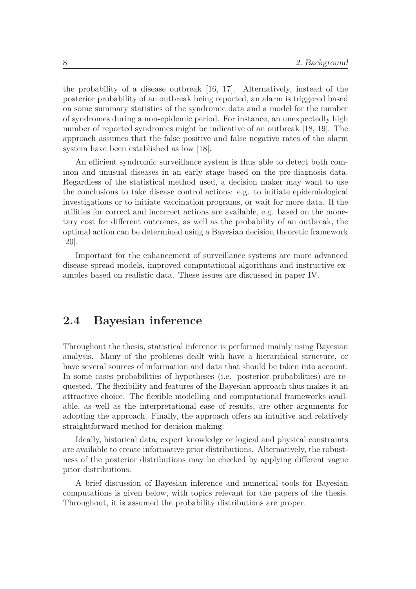the probability of a disease outbreak [16, 17]. Alternatively, instead of the posterior probability of an outbreak being reported, an alarm is triggered based on some summary statistics of the syndromic data and a model for the number of syndromes during a non-epidemic period. For instance, an unexpectedly high number of reported syndromes might be indicative of an outbreak [18, 19]. The approach assumes that the false positive and false negative rates of the alarm system have been established as low [18].

An efficient syndromic surveillance system is thus able to detect both common and unusual diseases in an early stage based on the pre-diagnosis data. Regardless of the statistical method used, a decision maker may want to use the conclusions to take disease control actions: e.g. to initiate epidemiological investigations or to initiate vaccination programs, or wait for more data. If the utilities for correct and incorrect actions are available, e.g. based on the monetary cost for different outcomes, as well as the probability of an outbreak, the optimal action can be determined using a Bayesian decision theoretic framework [20].

Important for the enhancement of surveillance systems are more advanced disease spread models, improved computational algorithms and instructive examples based on realistic data. These issues are discussed in paper IV.

### **2.4 Bayesian inference**

Throughout the thesis, statistical inference is performed mainly using Bayesian analysis. Many of the problems dealt with have a hierarchical structure, or have several sources of information and data that should be taken into account. In some cases probabilities of hypotheses (i.e. posterior probabilities) are requested. The flexibility and features of the Bayesian approach thus makes it an attractive choice. The flexible modelling and computational frameworks available, as well as the interpretational ease of results, are other arguments for adopting the approach. Finally, the approach offers an intuitive and relatively straightforward method for decision making.

Ideally, historical data, expert knowledge or logical and physical constraints are available to create informative prior distributions. Alternatively, the robustness of the posterior distributions may be checked by applying different vague prior distributions.

A brief discussion of Bayesian inference and numerical tools for Bayesian computations is given below, with topics relevant for the papers of the thesis. Throughout, it is assumed the probability distributions are proper.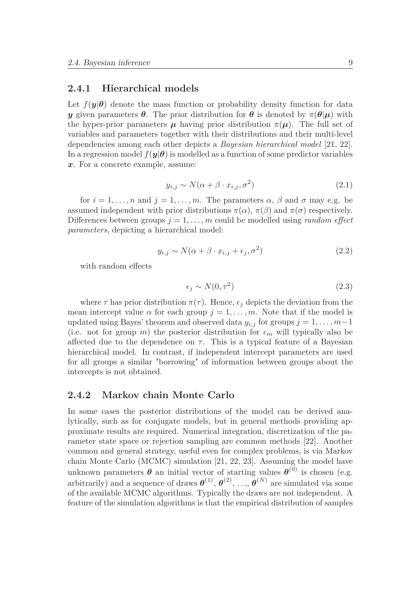#### **2.4.1 Hierarchical models**

Let  $f(\mathbf{y}|\boldsymbol{\theta})$  denote the mass function or probability density function for data *y* given parameters  $\theta$ . The prior distribution for  $\theta$  is denoted by  $\pi(\theta|\mu)$  with the hyper-prior parameters  $\mu$  having prior distribution  $\pi(\mu)$ . The full set of variables and parameters together with their distributions and their multi-level dependencies among each other depicts a *Bayesian hierarchical model* [21, 22]. In a regression model  $f(\mathbf{y}|\boldsymbol{\theta})$  is modelled as a function of some predictor variables *x*. For a concrete example, assume:

$$
y_{i,j} \sim N(\alpha + \beta \cdot x_{i,j}, \sigma^2)
$$
 (2.1)

for  $i = 1, \ldots, n$  and  $j = 1, \ldots, m$ . The parameters  $\alpha, \beta$  and  $\sigma$  may e.g. be assumed independent with prior distributions  $\pi(\alpha)$ ,  $\pi(\beta)$  and  $\pi(\sigma)$  respectively. Differences between groups  $j = 1, \ldots, m$  could be modelled using *random effect parameters*, depicting a hierarchical model:

$$
y_{i,j} \sim N(\alpha + \beta \cdot x_{i,j} + \epsilon_j, \sigma^2)
$$
 (2.2)

with random effects

$$
\epsilon_j \sim N(0, \tau^2) \tag{2.3}
$$

where  $\tau$  has prior distribution  $\pi(\tau)$ . Hence,  $\epsilon_i$  depicts the deviation from the mean intercept value  $\alpha$  for each group  $j = 1, \ldots, m$ . Note that if the model is updated using Bayes' theorem and observed data  $y_{i,j}$  for groups  $j = 1, \ldots, m-1$ (i.e. not for group *m*) the posterior distribution for  $\epsilon_m$  will typically also be affected due to the dependence on  $\tau$ . This is a typical feature of a Bayesian hierarchical model. In contrast, if independent intercept parameters are used for all groups a similar "borrowing" of information between groups about the intercepts is not obtained.

#### **2.4.2 Markov chain Monte Carlo**

In some cases the posterior distributions of the model can be derived analytically, such as for conjugate models, but in general methods providing approximate results are required. Numerical integration, discretization of the parameter state space or rejection sampling are common methods [22]. Another common and general strategy, useful even for complex problems, is via Markov chain Monte Carlo (MCMC) simulation [21, 22, 23]. Assuming the model have unknown parameters  $\theta$  an initial vector of starting values  $\theta^{(0)}$  is chosen (e.g. arbitrarily) and a sequence of draws  $\boldsymbol{\theta}^{(1)}, \boldsymbol{\theta}^{(2)}, \ldots, \boldsymbol{\theta}^{(N)}$  are simulated via some of the available MCMC algorithms. Typically the draws are not independent. A feature of the simulation algorithms is that the empirical distribution of samples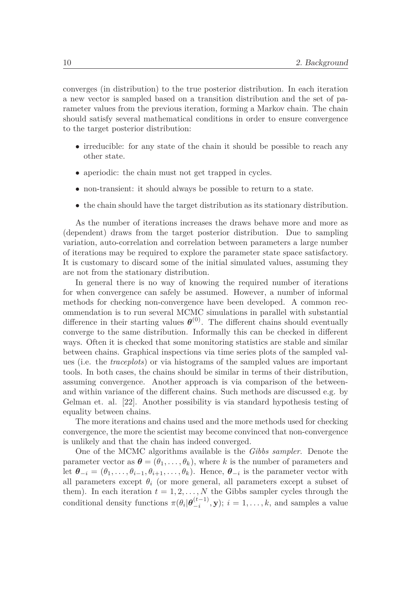converges (in distribution) to the true posterior distribution. In each iteration a new vector is sampled based on a transition distribution and the set of parameter values from the previous iteration, forming a Markov chain. The chain should satisfy several mathematical conditions in order to ensure convergence to the target posterior distribution:

- irreducible: for any state of the chain it should be possible to reach any other state.
- aperiodic: the chain must not get trapped in cycles.
- non-transient: it should always be possible to return to a state.
- the chain should have the target distribution as its stationary distribution.

As the number of iterations increases the draws behave more and more as (dependent) draws from the target posterior distribution. Due to sampling variation, auto-correlation and correlation between parameters a large number of iterations may be required to explore the parameter state space satisfactory. It is customary to discard some of the initial simulated values, assuming they are not from the stationary distribution.

In general there is no way of knowing the required number of iterations for when convergence can safely be assumed. However, a number of informal methods for checking non-convergence have been developed. A common recommendation is to run several MCMC simulations in parallel with substantial difference in their starting values  $\boldsymbol{\theta}^{(0)}$ . The different chains should eventually converge to the same distribution. Informally this can be checked in different ways. Often it is checked that some monitoring statistics are stable and similar between chains. Graphical inspections via time series plots of the sampled values (i.e. the *traceplots*) or via histograms of the sampled values are important tools. In both cases, the chains should be similar in terms of their distribution, assuming convergence. Another approach is via comparison of the betweenand within variance of the different chains. Such methods are discussed e.g. by Gelman et. al. [22]. Another possibility is via standard hypothesis testing of equality between chains.

The more iterations and chains used and the more methods used for checking convergence, the more the scientist may become convinced that non-convergence is unlikely and that the chain has indeed converged.

One of the MCMC algorithms available is the *Gibbs sampler*. Denote the parameter vector as  $\boldsymbol{\theta} = (\theta_1, \ldots, \theta_k)$ , where *k* is the number of parameters and let  $\theta_{-i} = (\theta_1, \ldots, \theta_{i-1}, \theta_{i+1}, \ldots, \theta_k)$ . Hence,  $\theta_{-i}$  is the parameter vector with all parameters except  $\theta_i$  (or more general, all parameters except a subset of them). In each iteration  $t = 1, 2, ..., N$  the Gibbs sampler cycles through the conditional density functions  $\pi(\theta_i|\boldsymbol{\theta}_{-i}^{(t-1)}, \mathbf{y}); i = 1, \ldots, k$ , and samples a value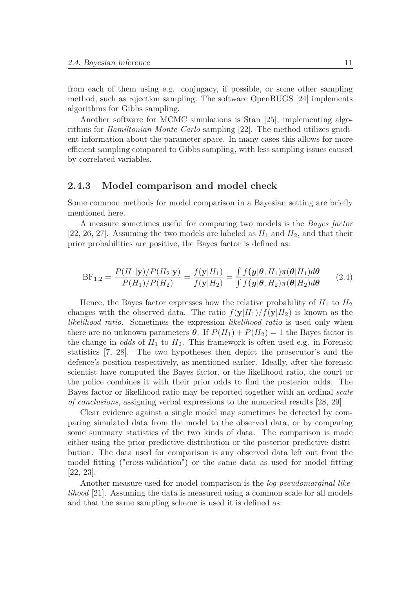from each of them using e.g. conjugacy, if possible, or some other sampling method, such as rejection sampling. The software OpenBUGS [24] implements algorithms for Gibbs sampling.

Another software for MCMC simulations is Stan [25], implementing algorithms for *Hamiltonian Monte Carlo* sampling [22]. The method utilizes gradient information about the parameter space. In many cases this allows for more efficient sampling compared to Gibbs sampling, with less sampling issues caused by correlated variables.

#### **2.4.3 Model comparison and model check**

Some common methods for model comparison in a Bayesian setting are briefly mentioned here.

A measure sometimes useful for comparing two models is the *Bayes factor* [22, 26, 27]. Assuming the two models are labeled as  $H_1$  and  $H_2$ , and that their prior probabilities are positive, the Bayes factor is defined as:

$$
BF_{1,2} = \frac{P(H_1|\mathbf{y})/P(H_2|\mathbf{y})}{P(H_1)/P(H_2)} = \frac{f(\mathbf{y}|H_1)}{f(\mathbf{y}|H_2)} = \frac{\int f(\mathbf{y}|\boldsymbol{\theta}, H_1)\pi(\boldsymbol{\theta}|H_1)d\boldsymbol{\theta}}{\int f(\mathbf{y}|\boldsymbol{\theta}, H_2)\pi(\boldsymbol{\theta}|H_2)d\boldsymbol{\theta}} \qquad (2.4)
$$

Hence, the Bayes factor expresses how the relative probability of  $H_1$  to  $H_2$ changes with the observed data. The ratio  $f(y|H_1)/f(y|H_2)$  is known as the *likelihood ratio*. Sometimes the expression *likelihood ratio* is used only when there are no unknown parameters  $\theta$ . If  $P(H_1) + P(H_2) = 1$  the Bayes factor is the change in *odds* of  $H_1$  to  $H_2$ . This framework is often used e.g. in Forensic statistics [7, 28]. The two hypotheses then depict the prosecutor's and the defence's position respectively, as mentioned earlier. Ideally, after the forensic scientist have computed the Bayes factor, or the likelihood ratio, the court or the police combines it with their prior odds to find the posterior odds. The Bayes factor or likelihood ratio may be reported together with an ordinal *scale of conclusions*, assigning verbal expressions to the numerical results [28, 29].

Clear evidence against a single model may sometimes be detected by comparing simulated data from the model to the observed data, or by comparing some summary statistics of the two kinds of data. The comparison is made either using the prior predictive distribution or the posterior predictive distribution. The data used for comparison is any observed data left out from the model fitting ("cross-validation") or the same data as used for model fitting [22, 23].

Another measure used for model comparison is the *log pseudomarginal likelihood* [21]. Assuming the data is measured using a common scale for all models and that the same sampling scheme is used it is defined as: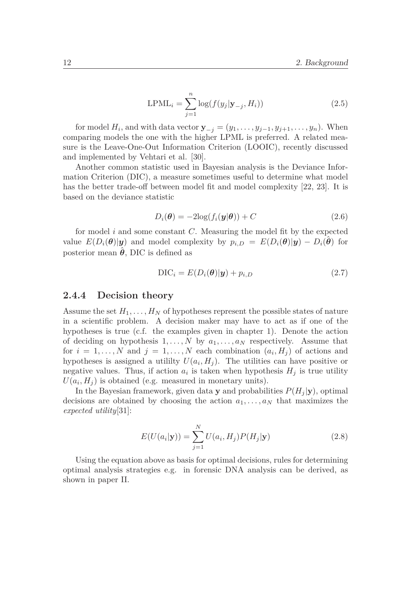$$
LPML_i = \sum_{j=1}^{n} \log(f(y_j | \mathbf{y}_{-j}, H_i))
$$
\n(2.5)

for model  $H_i$ , and with data vector  $\mathbf{y}_{-j} = (y_1, \ldots, y_{j-1}, y_{j+1}, \ldots, y_n)$ . When comparing models the one with the higher LPML is preferred. A related measure is the Leave-One-Out Information Criterion (LOOIC), recently discussed and implemented by Vehtari et al. [30].

Another common statistic used in Bayesian analysis is the Deviance Information Criterion (DIC), a measure sometimes useful to determine what model has the better trade-off between model fit and model complexity [22, 23]. It is based on the deviance statistic

$$
D_i(\boldsymbol{\theta}) = -2\log(f_i(\boldsymbol{y}|\boldsymbol{\theta})) + C
$$
\n(2.6)

for model *i* and some constant *C*. Measuring the model fit by the expected value  $E(D_i(\theta)|y)$  and model complexity by  $p_{i,D} = E(D_i(\theta)|y) - D_i(\hat{\theta})$  for posterior mean  $\hat{\theta}$ , DIC is defined as

$$
\text{DIC}_{i} = E(D_{i}(\boldsymbol{\theta})|\mathbf{y}) + p_{i,D} \tag{2.7}
$$

#### **2.4.4 Decision theory**

Assume the set  $H_1, \ldots, H_N$  of hypotheses represent the possible states of nature in a scientific problem. A decision maker may have to act as if one of the hypotheses is true (c.f. the examples given in chapter 1). Denote the action of deciding on hypothesis 1*,...,N* by *a*1*,...,a<sup>N</sup>* respectively. Assume that for  $i = 1, ..., N$  and  $j = 1, ..., N$  each combination  $(a_i, H_j)$  of actions and hypotheses is assigned a utililty  $U(a_i, H_j)$ . The utilities can have positive or negative values. Thus, if action  $a_i$  is taken when hypothesis  $H_i$  is true utility  $U(a_i, H_i)$  is obtained (e.g. measured in monetary units).

In the Bayesian framework, given data **y** and probabilities  $P(H_i|\mathbf{y})$ , optimal decisions are obtained by choosing the action  $a_1, \ldots, a_N$  that maximizes the *expected utility*[31]:

$$
E(U(a_i|\mathbf{y})) = \sum_{j=1}^{N} U(a_i, H_j) P(H_j|\mathbf{y})
$$
\n(2.8)

Using the equation above as basis for optimal decisions, rules for determining optimal analysis strategies e.g. in forensic DNA analysis can be derived, as shown in paper II.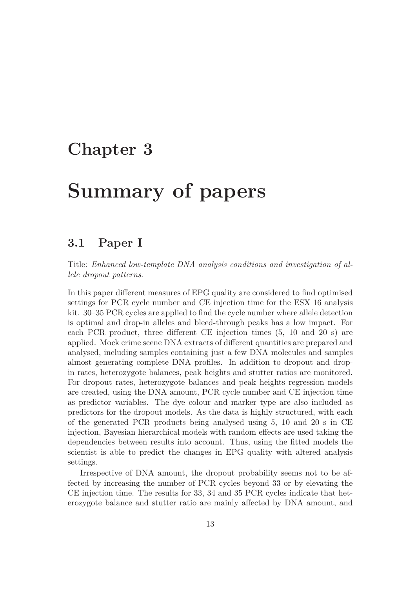## **Chapter 3**

# **Summary of papers**

### **3.1 Paper I**

Title: *Enhanced low-template DNA analysis conditions and investigation of allele dropout patterns*.

In this paper different measures of EPG quality are considered to find optimised settings for PCR cycle number and CE injection time for the ESX 16 analysis kit. 30–35 PCR cycles are applied to find the cycle number where allele detection is optimal and drop-in alleles and bleed-through peaks has a low impact. For each PCR product, three different CE injection times (5, 10 and 20 s) are applied. Mock crime scene DNA extracts of different quantities are prepared and analysed, including samples containing just a few DNA molecules and samples almost generating complete DNA profiles. In addition to dropout and dropin rates, heterozygote balances, peak heights and stutter ratios are monitored. For dropout rates, heterozygote balances and peak heights regression models are created, using the DNA amount, PCR cycle number and CE injection time as predictor variables. The dye colour and marker type are also included as predictors for the dropout models. As the data is highly structured, with each of the generated PCR products being analysed using 5, 10 and 20 s in CE injection, Bayesian hierarchical models with random effects are used taking the dependencies between results into account. Thus, using the fitted models the scientist is able to predict the changes in EPG quality with altered analysis settings.

Irrespective of DNA amount, the dropout probability seems not to be affected by increasing the number of PCR cycles beyond 33 or by elevating the CE injection time. The results for 33, 34 and 35 PCR cycles indicate that heterozygote balance and stutter ratio are mainly affected by DNA amount, and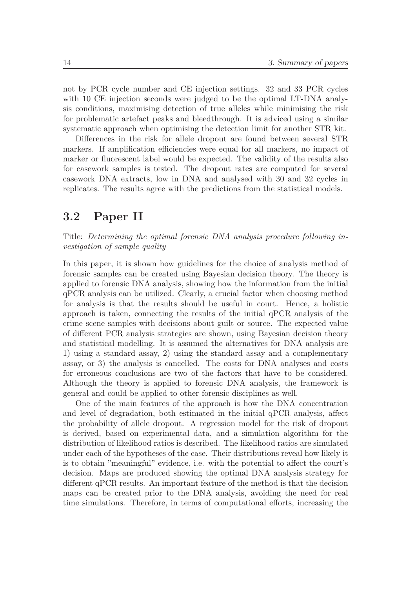not by PCR cycle number and CE injection settings. 32 and 33 PCR cycles with 10 CE injection seconds were judged to be the optimal LT-DNA analysis conditions, maximising detection of true alleles while minimising the risk for problematic artefact peaks and bleedthrough. It is adviced using a similar systematic approach when optimising the detection limit for another STR kit.

Differences in the risk for allele dropout are found between several STR markers. If amplification efficiencies were equal for all markers, no impact of marker or fluorescent label would be expected. The validity of the results also for casework samples is tested. The dropout rates are computed for several casework DNA extracts, low in DNA and analysed with 30 and 32 cycles in replicates. The results agree with the predictions from the statistical models.

### **3.2 Paper II**

Title: *Determining the optimal forensic DNA analysis procedure following investigation of sample quality*

In this paper, it is shown how guidelines for the choice of analysis method of forensic samples can be created using Bayesian decision theory. The theory is applied to forensic DNA analysis, showing how the information from the initial qPCR analysis can be utilized. Clearly, a crucial factor when choosing method for analysis is that the results should be useful in court. Hence, a holistic approach is taken, connecting the results of the initial qPCR analysis of the crime scene samples with decisions about guilt or source. The expected value of different PCR analysis strategies are shown, using Bayesian decision theory and statistical modelling. It is assumed the alternatives for DNA analysis are 1) using a standard assay, 2) using the standard assay and a complementary assay, or 3) the analysis is cancelled. The costs for DNA analyses and costs for erroneous conclusions are two of the factors that have to be considered. Although the theory is applied to forensic DNA analysis, the framework is general and could be applied to other forensic disciplines as well.

One of the main features of the approach is how the DNA concentration and level of degradation, both estimated in the initial qPCR analysis, affect the probability of allele dropout. A regression model for the risk of dropout is derived, based on experimental data, and a simulation algorithm for the distribution of likelihood ratios is described. The likelihood ratios are simulated under each of the hypotheses of the case. Their distributions reveal how likely it is to obtain "meaningful" evidence, i.e. with the potential to affect the court's decision. Maps are produced showing the optimal DNA analysis strategy for different qPCR results. An important feature of the method is that the decision maps can be created prior to the DNA analysis, avoiding the need for real time simulations. Therefore, in terms of computational efforts, increasing the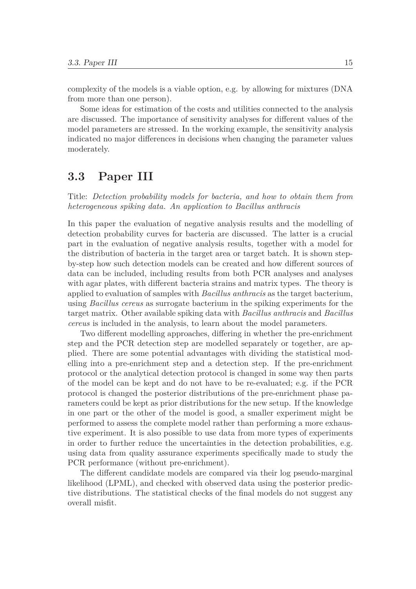complexity of the models is a viable option, e.g. by allowing for mixtures (DNA from more than one person).

Some ideas for estimation of the costs and utilities connected to the analysis are discussed. The importance of sensitivity analyses for different values of the model parameters are stressed. In the working example, the sensitivity analysis indicated no major differences in decisions when changing the parameter values moderately.

### **3.3 Paper III**

Title: *Detection probability models for bacteria, and how to obtain them from heterogeneous spiking data. An application to Bacillus anthracis*

In this paper the evaluation of negative analysis results and the modelling of detection probability curves for bacteria are discussed. The latter is a crucial part in the evaluation of negative analysis results, together with a model for the distribution of bacteria in the target area or target batch. It is shown stepby-step how such detection models can be created and how different sources of data can be included, including results from both PCR analyses and analyses with agar plates, with different bacteria strains and matrix types. The theory is applied to evaluation of samples with *Bacillus anthracis* as the target bacterium, using *Bacillus cereus* as surrogate bacterium in the spiking experiments for the target matrix. Other available spiking data with *Bacillus anthracis* and *Bacillus cereus* is included in the analysis, to learn about the model parameters.

Two different modelling approaches, differing in whether the pre-enrichment step and the PCR detection step are modelled separately or together, are applied. There are some potential advantages with dividing the statistical modelling into a pre-enrichment step and a detection step. If the pre-enrichment protocol or the analytical detection protocol is changed in some way then parts of the model can be kept and do not have to be re-evaluated; e.g. if the PCR protocol is changed the posterior distributions of the pre-enrichment phase parameters could be kept as prior distributions for the new setup. If the knowledge in one part or the other of the model is good, a smaller experiment might be performed to assess the complete model rather than performing a more exhaustive experiment. It is also possible to use data from more types of experiments in order to further reduce the uncertainties in the detection probabilities, e.g. using data from quality assurance experiments specifically made to study the PCR performance (without pre-enrichment).

The different candidate models are compared via their log pseudo-marginal likelihood (LPML), and checked with observed data using the posterior predictive distributions. The statistical checks of the final models do not suggest any overall misfit.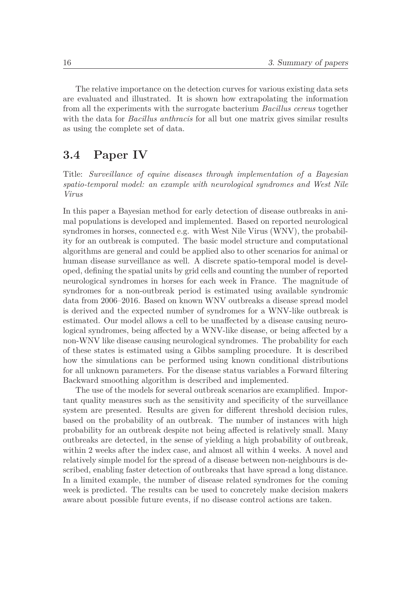The relative importance on the detection curves for various existing data sets are evaluated and illustrated. It is shown how extrapolating the information from all the experiments with the surrogate bacterium *Bacillus cereus* together with the data for *Bacillus anthracis* for all but one matrix gives similar results as using the complete set of data.

### **3.4 Paper IV**

Title: *Surveillance of equine diseases through implementation of a Bayesian spatio-temporal model: an example with neurological syndromes and West Nile Virus*

In this paper a Bayesian method for early detection of disease outbreaks in animal populations is developed and implemented. Based on reported neurological syndromes in horses, connected e.g. with West Nile Virus (WNV), the probability for an outbreak is computed. The basic model structure and computational algorithms are general and could be applied also to other scenarios for animal or human disease surveillance as well. A discrete spatio-temporal model is developed, defining the spatial units by grid cells and counting the number of reported neurological syndromes in horses for each week in France. The magnitude of syndromes for a non-outbreak period is estimated using available syndromic data from 2006–2016. Based on known WNV outbreaks a disease spread model is derived and the expected number of syndromes for a WNV-like outbreak is estimated. Our model allows a cell to be unaffected by a disease causing neurological syndromes, being affected by a WNV-like disease, or being affected by a non-WNV like disease causing neurological syndromes. The probability for each of these states is estimated using a Gibbs sampling procedure. It is described how the simulations can be performed using known conditional distributions for all unknown parameters. For the disease status variables a Forward filtering Backward smoothing algorithm is described and implemented.

The use of the models for several outbreak scenarios are examplified. Important quality measures such as the sensitivity and specificity of the surveillance system are presented. Results are given for different threshold decision rules, based on the probability of an outbreak. The number of instances with high probability for an outbreak despite not being affected is relatively small. Many outbreaks are detected, in the sense of yielding a high probability of outbreak, within 2 weeks after the index case, and almost all within 4 weeks. A novel and relatively simple model for the spread of a disease between non-neighbours is described, enabling faster detection of outbreaks that have spread a long distance. In a limited example, the number of disease related syndromes for the coming week is predicted. The results can be used to concretely make decision makers aware about possible future events, if no disease control actions are taken.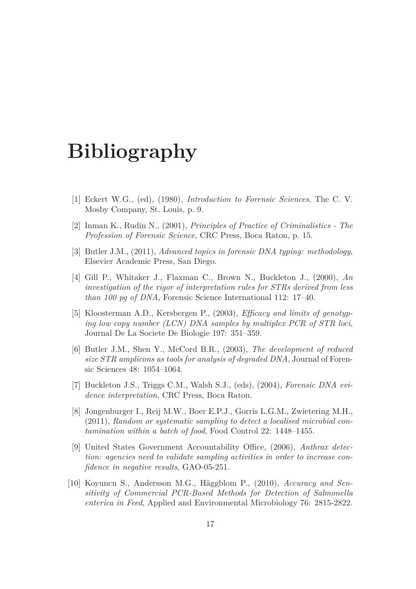# **Bibliography**

- [1] Eckert W.G., (ed), (1980), *Introduction to Forensic Sciences*, The C. V. Mosby Company, St. Louis, p. 9.
- [2] Inman K., Rudin N., (2001), *Principles of Practice of Criminalistics The Profession of Forensic Science*, CRC Press, Boca Raton, p. 15.
- [3] Butler J.M., (2011), *Advanced topics in forensic DNA typing: methodology*, Elsevier Academic Press, San Diego.
- [4] Gill P., Whitaker J., Flaxman C., Brown N., Buckleton J., (2000), *An investigation of the rigor of interpretation rules for STRs derived from less than 100 pg of DNA*, Forensic Science International 112: 17–40.
- [5] Kloosterman A.D., Kersbergen P., (2003), *Efficacy and limits of genotyping low copy number (LCN) DNA samples by multiplex PCR of STR loci*, Journal De La Societe De Biologie 197: 351–359.
- [6] Butler J.M., Shen Y., McCord B.R., (2003), *The development of reduced size STR amplicons as tools for analysis of degraded DNA*, Journal of Forensic Sciences 48: 1054–1064.
- [7] Buckleton J.S., Triggs C.M., Walsh S.J., (eds), (2004), *Forensic DNA evidence interpretation*, CRC Press, Boca Raton.
- [8] Jongenburger I., Reij M.W., Boer E.P.J., Gorris L.G.M., Zwietering M.H., (2011), *Random or systematic sampling to detect a localised microbial contamination within a batch of food*, Food Control 22: 1448–1455.
- [9] United States Government Accountability Office, (2006), *Anthrax detection: agencies need to validate sampling activities in order to increase confidence in negative results*, GAO-05-251.
- [10] Koyuncu S., Andersson M.G., Häggblom P., (2010), *Accuracy and Sensitivity of Commercial PCR-Based Methods for Detection of Salmonella enterica in Feed*, Applied and Environmental Microbiology 76: 2815-2822.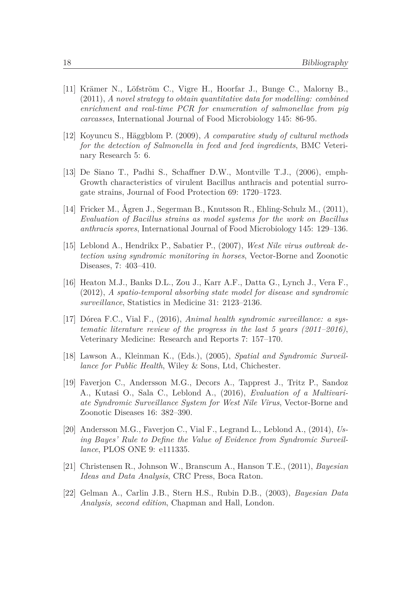- [11] Krämer N., Löfström C., Vigre H., Hoorfar J., Bunge C., Malorny B., (2011), *A novel strategy to obtain quantitative data for modelling: combined enrichment and real-time PCR for enumeration of salmonellae from pig carcasses*, International Journal of Food Microbiology 145: 86-95.
- [12] Koyuncu S., Häggblom P. (2009), *A comparative study of cultural methods for the detection of Salmonella in feed and feed ingredients*, BMC Veterinary Research 5: 6.
- [13] De Siano T., Padhi S., Schaffner D.W., Montville T.J., (2006), emph-Growth characteristics of virulent Bacillus anthracis and potential surrogate strains, Journal of Food Protection 69: 1720–1723.
- [14] Fricker M., Ågren J., Segerman B., Knutsson R., Ehling-Schulz M., (2011), *Evaluation of Bacillus strains as model systems for the work on Bacillus anthracis spores*, International Journal of Food Microbiology 145: 129–136.
- [15] Leblond A., Hendrikx P., Sabatier P., (2007), *West Nile virus outbreak detection using syndromic monitoring in horses*, Vector-Borne and Zoonotic Diseases, 7: 403–410.
- [16] Heaton M.J., Banks D.L., Zou J., Karr A.F., Datta G., Lynch J., Vera F., (2012), *A spatio-temporal absorbing state model for disease and syndromic surveillance*, Statistics in Medicine 31: 2123–2136.
- [17] Dórea F.C., Vial F., (2016), *Animal health syndromic surveillance: a systematic literature review of the progress in the last 5 years (2011–2016)*, Veterinary Medicine: Research and Reports 7: 157–170.
- [18] Lawson A., Kleinman K., (Eds.), (2005), *Spatial and Syndromic Surveillance for Public Health*, Wiley & Sons, Ltd, Chichester.
- [19] Faverjon C., Andersson M.G., Decors A., Tapprest J., Tritz P., Sandoz A., Kutasi O., Sala C., Leblond A., (2016), *Evaluation of a Multivariate Syndromic Surveillance System for West Nile Virus*, Vector-Borne and Zoonotic Diseases 16: 382–390.
- [20] Andersson M.G., Faverjon C., Vial F., Legrand L., Leblond A., (2014), *Using Bayes' Rule to Define the Value of Evidence from Syndromic Surveillance*, PLOS ONE 9: e111335.
- [21] Christensen R., Johnson W., Branscum A., Hanson T.E., (2011), *Bayesian Ideas and Data Analysis*, CRC Press, Boca Raton.
- [22] Gelman A., Carlin J.B., Stern H.S., Rubin D.B., (2003), *Bayesian Data Analysis, second edition*, Chapman and Hall, London.